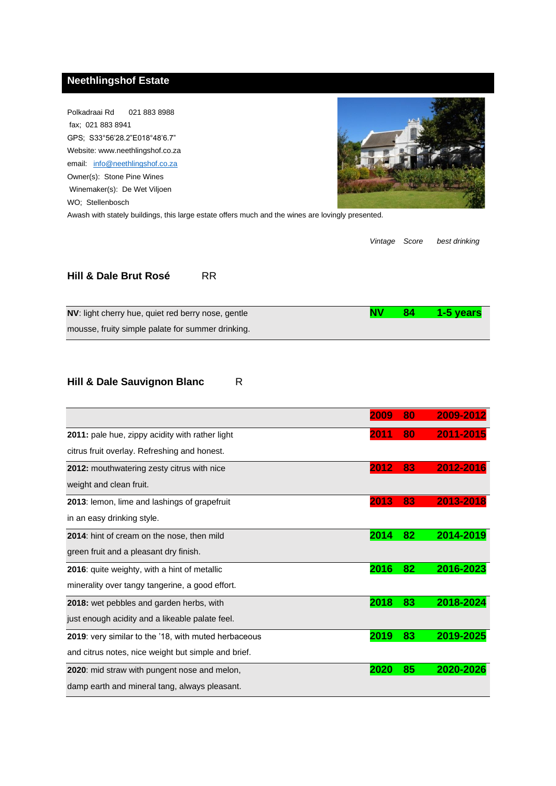## **Neethlingshof Estate**

Polkadraai Rd 021 883 8988 fax; 021 883 8941 GPS; S33°56'28.2"E018°48'6.7" Website: www.neethlingshof.co.za email: info@neethlingshof.co.za Owner(s): Stone Pine Wines Winemaker(s): De Wet Viljoen WO; Stellenbosch



Awash with stately buildings, this large estate offers much and the wines are lovingly presented.

*Vintage Score best drinking*

#### **Hill & Dale Brut Rosé** RR

| NV: light cherry hue, quiet red berry nose, gentle | 84 <sup>°</sup> | 1-5 years |
|----------------------------------------------------|-----------------|-----------|
| mousse, fruity simple palate for summer drinking.  |                 |           |

#### **Hill & Dale Sauvignon Blanc** R

|                                                             | 2009 | 80 | 2009-2012 |
|-------------------------------------------------------------|------|----|-----------|
| 2011: pale hue, zippy acidity with rather light             | 2011 | 80 | 2011-2015 |
| citrus fruit overlay. Refreshing and honest.                |      |    |           |
| 2012: mouthwatering zesty citrus with nice                  | 2012 | 83 | 2012-2016 |
| weight and clean fruit.                                     |      |    |           |
| 2013: lemon, lime and lashings of grapefruit                | 2013 | 83 | 2013-2018 |
| in an easy drinking style.                                  |      |    |           |
| 2014: hint of cream on the nose, then mild                  | 2014 | 82 | 2014-2019 |
| green fruit and a pleasant dry finish.                      |      |    |           |
| 2016: quite weighty, with a hint of metallic                | 2016 | 82 | 2016-2023 |
| minerality over tangy tangerine, a good effort.             |      |    |           |
| 2018: wet pebbles and garden herbs, with                    | 2018 | 83 | 2018-2024 |
| just enough acidity and a likeable palate feel.             |      |    |           |
| <b>2019:</b> very similar to the '18, with muted herbaceous | 2019 | 83 | 2019-2025 |
| and citrus notes, nice weight but simple and brief.         |      |    |           |
| <b>2020:</b> mid straw with pungent nose and melon,         | 2020 | 85 | 2020-2026 |
| damp earth and mineral tang, always pleasant.               |      |    |           |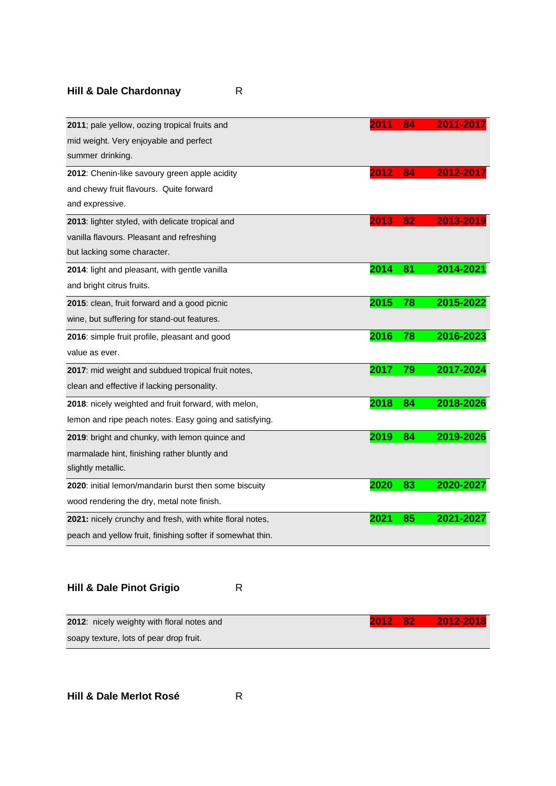## **Hill & Dale Chardonnay** R

| 2011; pale yellow, oozing tropical fruits and              | 2011 | 84 | 2011-2017 |
|------------------------------------------------------------|------|----|-----------|
| mid weight. Very enjoyable and perfect                     |      |    |           |
| summer drinking.                                           |      |    |           |
| 2012: Chenin-like savoury green apple acidity              | 2012 | 84 | 2012-2017 |
| and chewy fruit flavours. Quite forward                    |      |    |           |
| and expressive.                                            |      |    |           |
| 2013: lighter styled, with delicate tropical and           | 2013 | 82 | 2013-2019 |
| vanilla flavours. Pleasant and refreshing                  |      |    |           |
| but lacking some character.                                |      |    |           |
| 2014: light and pleasant, with gentle vanilla              | 2014 | 81 | 2014-2021 |
| and bright citrus fruits.                                  |      |    |           |
| 2015: clean, fruit forward and a good picnic               | 2015 | 78 | 2015-2022 |
| wine, but suffering for stand-out features.                |      |    |           |
| 2016: simple fruit profile, pleasant and good              | 2016 | 78 | 2016-2023 |
| value as ever.                                             |      |    |           |
| 2017: mid weight and subdued tropical fruit notes,         | 2017 | 79 | 2017-2024 |
| clean and effective if lacking personality.                |      |    |           |
| 2018: nicely weighted and fruit forward, with melon,       | 2018 | 84 | 2018-2026 |
| lemon and ripe peach notes. Easy going and satisfying.     |      |    |           |
| 2019: bright and chunky, with lemon quince and             | 2019 | 84 | 2019-2026 |
| marmalade hint, finishing rather bluntly and               |      |    |           |
| slightly metallic.                                         |      |    |           |
| 2020: initial lemon/mandarin burst then some biscuity      | 2020 | 83 | 2020-2027 |
| wood rendering the dry, metal note finish.                 |      |    |           |
| 2021: nicely crunchy and fresh, with white floral notes,   | 2021 | 85 | 2021-2027 |
| peach and yellow fruit, finishing softer if somewhat thin. |      |    |           |

**Hill & Dale Pinot Grigio** R

| <b>2012:</b> nicely weighty with floral notes and |  | 2012 82 2012-2018 |
|---------------------------------------------------|--|-------------------|
| soapy texture, lots of pear drop fruit.           |  |                   |

**Hill & Dale Merlot Rosé** R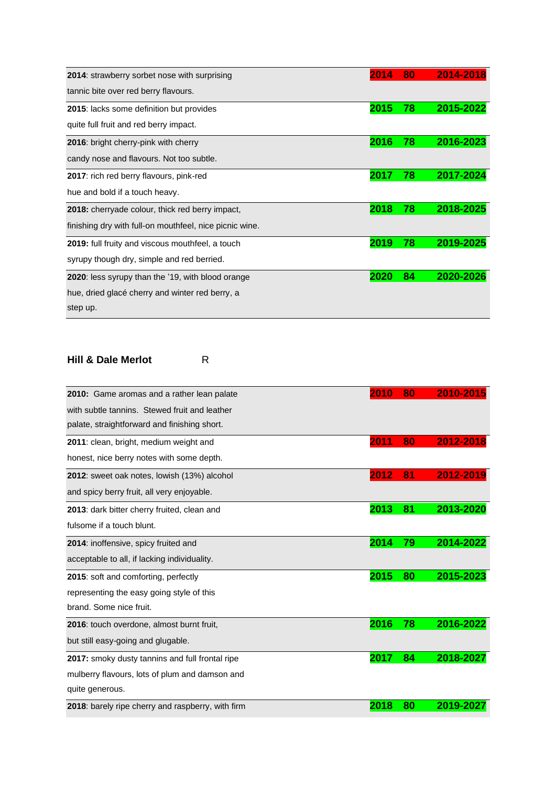| <b>2014:</b> strawberry sorbet nose with surprising       | 2014 | 80 | 2014-2018 |
|-----------------------------------------------------------|------|----|-----------|
| tannic bite over red berry flavours.                      |      |    |           |
| 2015: lacks some definition but provides                  | 2015 | 78 | 2015-2022 |
| quite full fruit and red berry impact.                    |      |    |           |
| 2016: bright cherry-pink with cherry                      | 2016 | 78 | 2016-2023 |
| candy nose and flavours. Not too subtle.                  |      |    |           |
| 2017: rich red berry flavours, pink-red                   | 2017 | 78 | 2017-2024 |
| hue and bold if a touch heavy.                            |      |    |           |
| 2018: cherryade colour, thick red berry impact,           | 2018 | 78 | 2018-2025 |
| finishing dry with full-on mouthfeel, nice picnic wine.   |      |    |           |
| <b>2019:</b> full fruity and viscous mouthfeel, a touch   | 2019 | 78 | 2019-2025 |
| syrupy though dry, simple and red berried.                |      |    |           |
| <b>2020</b> : less syrupy than the '19, with blood orange | 2020 | 84 | 2020-2026 |
| hue, dried glacé cherry and winter red berry, a           |      |    |           |
| step up.                                                  |      |    |           |

#### **Hill & Dale Merlot** R

| 2010: Game aromas and a rather lean palate        | 2010 | 80 | 2010-2015 |
|---------------------------------------------------|------|----|-----------|
| with subtle tannins. Stewed fruit and leather     |      |    |           |
| palate, straightforward and finishing short.      |      |    |           |
| 2011: clean, bright, medium weight and            | 2011 | 80 | 2012-2018 |
| honest, nice berry notes with some depth.         |      |    |           |
| 2012: sweet oak notes, lowish (13%) alcohol       | 2012 | 81 | 2012-2019 |
| and spicy berry fruit, all very enjoyable.        |      |    |           |
| 2013: dark bitter cherry fruited, clean and       | 2013 | 81 | 2013-2020 |
| fulsome if a touch blunt.                         |      |    |           |
| 2014: inoffensive, spicy fruited and              | 2014 | 79 | 2014-2022 |
| acceptable to all, if lacking individuality.      |      |    |           |
| 2015: soft and comforting, perfectly              | 2015 | 80 | 2015-2023 |
| representing the easy going style of this         |      |    |           |
| brand. Some nice fruit.                           |      |    |           |
| 2016: touch overdone, almost burnt fruit,         | 2016 | 78 | 2016-2022 |
| but still easy-going and glugable.                |      |    |           |
| 2017: smoky dusty tannins and full frontal ripe   | 2017 | 84 | 2018-2027 |
| mulberry flavours, lots of plum and damson and    |      |    |           |
| quite generous.                                   |      |    |           |
| 2018: barely ripe cherry and raspberry, with firm | 2018 | 80 | 2019-2027 |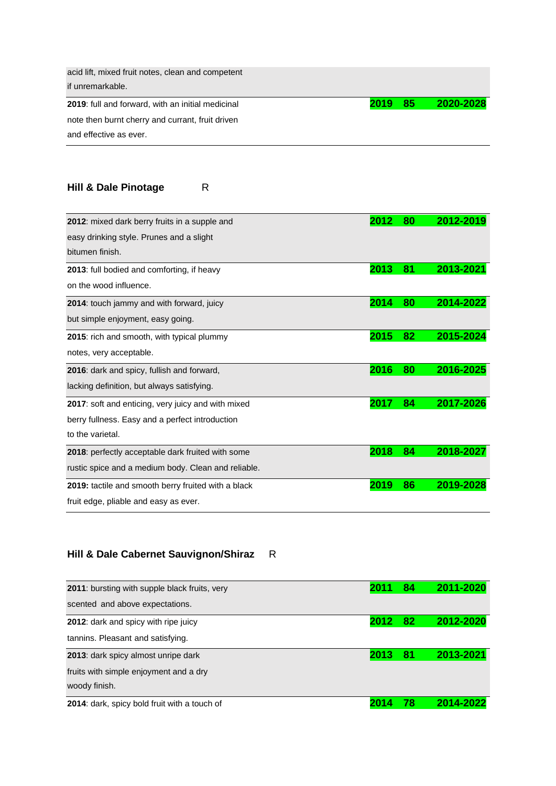| acid lift, mixed fruit notes, clean and competent |      |     |           |
|---------------------------------------------------|------|-----|-----------|
| if unremarkable.                                  |      |     |           |
| 2019: full and forward, with an initial medicinal | 2019 | -85 | 2020-2028 |
| note then burnt cherry and currant, fruit driven  |      |     |           |
| and effective as ever.                            |      |     |           |

## **Hill & Dale Pinotage** R

| 2012: mixed dark berry fruits in a supple and       | 2012 | 80 | 2012-2019 |
|-----------------------------------------------------|------|----|-----------|
| easy drinking style. Prunes and a slight            |      |    |           |
| bitumen finish.                                     |      |    |           |
| 2013: full bodied and comforting, if heavy          | 2013 | 81 | 2013-2021 |
| on the wood influence.                              |      |    |           |
| 2014: touch jammy and with forward, juicy           | 2014 | 80 | 2014-2022 |
| but simple enjoyment, easy going.                   |      |    |           |
| 2015: rich and smooth, with typical plummy          | 2015 | 82 | 2015-2024 |
| notes, very acceptable.                             |      |    |           |
| 2016: dark and spicy, fullish and forward,          | 2016 | 80 | 2016-2025 |
| lacking definition, but always satisfying.          |      |    |           |
| 2017: soft and enticing, very juicy and with mixed  | 2017 | 84 | 2017-2026 |
| berry fullness. Easy and a perfect introduction     |      |    |           |
| to the varietal.                                    |      |    |           |
| 2018: perfectly acceptable dark fruited with some   | 2018 | 84 | 2018-2027 |
| rustic spice and a medium body. Clean and reliable. |      |    |           |
| 2019: tactile and smooth berry fruited with a black | 2019 | 86 | 2019-2028 |
| fruit edge, pliable and easy as ever.               |      |    |           |

# **Hill & Dale Cabernet Sauvignon/Shiraz** R

| <b>2011:</b> bursting with supple black fruits, very | 2011 | 84 | 2011-2020 |
|------------------------------------------------------|------|----|-----------|
| scented and above expectations.                      |      |    |           |
| 2012: dark and spicy with ripe juicy                 | 2012 | 82 | 2012-2020 |
| tannins. Pleasant and satisfying.                    |      |    |           |
| 2013: dark spicy almost unripe dark                  | 2013 | 81 | 2013-2021 |
| fruits with simple enjoyment and a dry               |      |    |           |
| woody finish.                                        |      |    |           |
| 2014: dark, spicy bold fruit with a touch of         |      | 78 | 2014-2022 |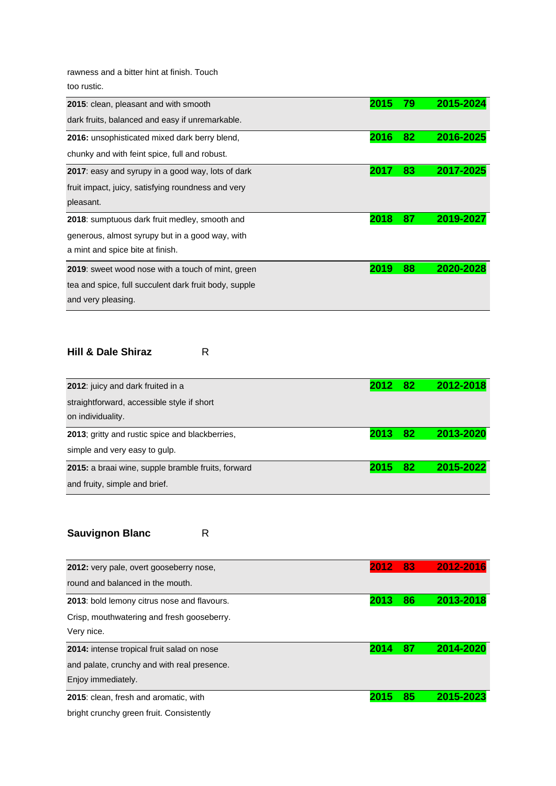rawness and a bitter hint at finish. Touch too rustic.

| 2015: clean, pleasant and with smooth                     | 2015 | 79 | 2015-2024 |
|-----------------------------------------------------------|------|----|-----------|
| dark fruits, balanced and easy if unremarkable.           |      |    |           |
| 2016: unsophisticated mixed dark berry blend,             | 2016 | 82 | 2016-2025 |
| chunky and with feint spice, full and robust.             |      |    |           |
| <b>2017</b> : easy and syrupy in a good way, lots of dark | 2017 | 83 | 2017-2025 |
| fruit impact, juicy, satisfying roundness and very        |      |    |           |
| pleasant.                                                 |      |    |           |
| 2018: sumptuous dark fruit medley, smooth and             | 2018 | 87 | 2019-2027 |
| generous, almost syrupy but in a good way, with           |      |    |           |
| a mint and spice bite at finish.                          |      |    |           |
| <b>2019</b> : sweet wood nose with a touch of mint, green | 2019 | 88 | 2020-2028 |
| tea and spice, full succulent dark fruit body, supple     |      |    |           |
| and very pleasing.                                        |      |    |           |

#### **Hill & Dale Shiraz** R

| 2012: juicy and dark fruited in a                       | 2012 | -82 | 2012-2018 |
|---------------------------------------------------------|------|-----|-----------|
| straightforward, accessible style if short              |      |     |           |
| on individuality.                                       |      |     |           |
| <b>2013</b> ; gritty and rustic spice and blackberries, | 2013 | 82  | 2013-2020 |
| simple and very easy to gulp.                           |      |     |           |
| 2015: a braai wine, supple bramble fruits, forward      | 2015 | 82  | 2015-2022 |
| and fruity, simple and brief.                           |      |     |           |

# **Sauvignon Blanc** R

| 2012: very pale, overt gooseberry nose,            | 2012 | -83 | 2012-2016 |
|----------------------------------------------------|------|-----|-----------|
| round and balanced in the mouth.                   |      |     |           |
| <b>2013:</b> bold lemony citrus nose and flavours. | 2013 | 86  | 2013-2018 |
| Crisp, mouthwatering and fresh gooseberry.         |      |     |           |
| Very nice.                                         |      |     |           |
| 2014: intense tropical fruit salad on nose         | 2014 | 87  | 2014-2020 |
| and palate, crunchy and with real presence.        |      |     |           |
| Enjoy immediately.                                 |      |     |           |
|                                                    |      | 85  | 2015-2023 |
|                                                    |      |     |           |

bright crunchy green fruit. Consistently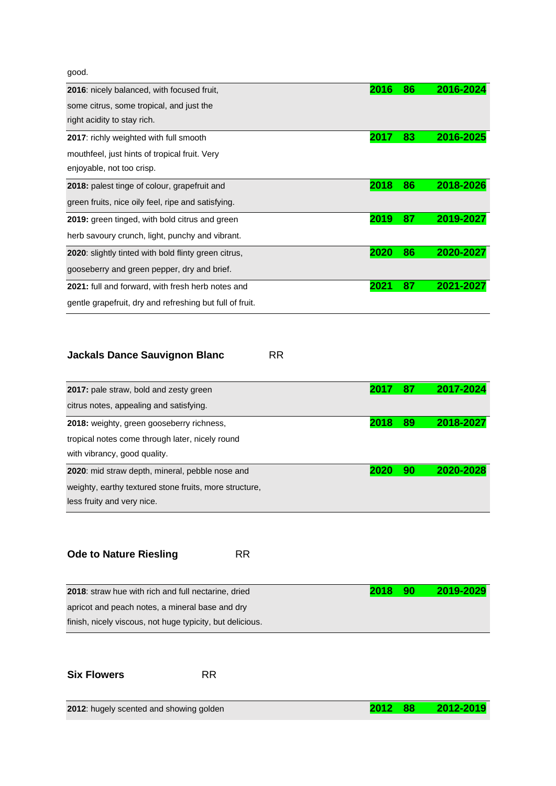good.

| 2016: nicely balanced, with focused fruit,               | 2016 | 86 | 2016-2024 |
|----------------------------------------------------------|------|----|-----------|
| some citrus, some tropical, and just the                 |      |    |           |
| right acidity to stay rich.                              |      |    |           |
| 2017: richly weighted with full smooth                   | 2017 | 83 | 2016-2025 |
| mouthfeel, just hints of tropical fruit. Very            |      |    |           |
| enjoyable, not too crisp.                                |      |    |           |
| 2018: palest tinge of colour, grapefruit and             | 2018 | 86 | 2018-2026 |
| green fruits, nice oily feel, ripe and satisfying.       |      |    |           |
| 2019: green tinged, with bold citrus and green           | 2019 | 87 | 2019-2027 |
| herb savoury crunch, light, punchy and vibrant.          |      |    |           |
| 2020: slightly tinted with bold flinty green citrus,     | 2020 | 86 | 2020-2027 |
| gooseberry and green pepper, dry and brief.              |      |    |           |
| 2021: full and forward, with fresh herb notes and        | 2021 | 87 | 2021-2027 |
| gentle grapefruit, dry and refreshing but full of fruit. |      |    |           |

## **Jackals Dance Sauvignon Blanc** RR

| 2017: pale straw, bold and zesty green                 | 2017 | 87 | 2017-2024 |
|--------------------------------------------------------|------|----|-----------|
| citrus notes, appealing and satisfying.                |      |    |           |
| 2018: weighty, green gooseberry richness,              | 2018 | 89 | 2018-2027 |
| tropical notes come through later, nicely round        |      |    |           |
| with vibrancy, good quality.                           |      |    |           |
| 2020: mid straw depth, mineral, pebble nose and        | 2020 | 90 | 2020-2028 |
| weighty, earthy textured stone fruits, more structure, |      |    |           |
| less fruity and very nice.                             |      |    |           |

## **Ode to Nature Riesling FRR**

| 2018 | 2019-2029 |
|------|-----------|
|      |           |
|      |           |
|      | - 90      |

**Six Flowers** RR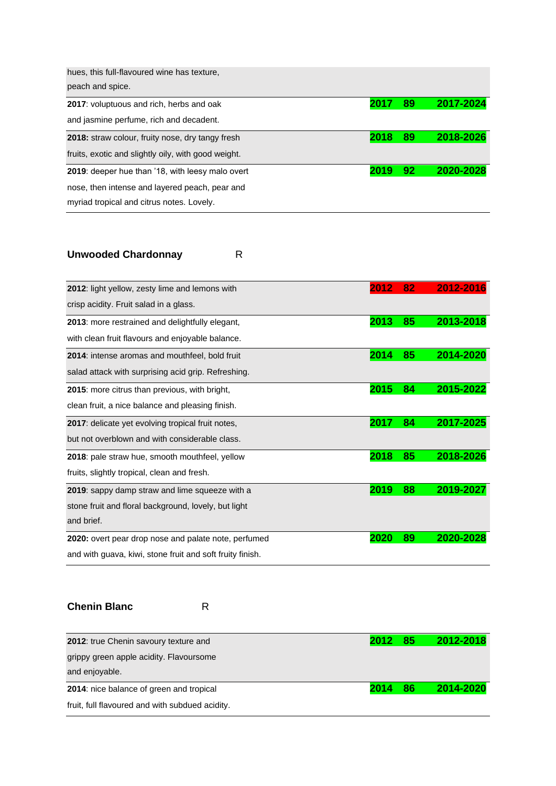| hues, this full-flavoured wine has texture.             |      |    |           |
|---------------------------------------------------------|------|----|-----------|
| peach and spice.                                        |      |    |           |
| <b>2017:</b> voluptuous and rich, herbs and oak         | 2017 | 89 | 2017-2024 |
| and jasmine perfume, rich and decadent.                 |      |    |           |
| <b>2018:</b> straw colour, fruity nose, dry tangy fresh | 2018 | 89 | 2018-2026 |
| fruits, exotic and slightly oily, with good weight.     |      |    |           |
| 2019: deeper hue than '18, with leesy malo overt        | 2019 | 92 | 2020-2028 |
| nose, then intense and layered peach, pear and          |      |    |           |
| myriad tropical and citrus notes. Lovely.               |      |    |           |

# **Unwooded Chardonnay** R

| 2012: light yellow, zesty lime and lemons with            | 2012 | 82 | 2012-2016 |
|-----------------------------------------------------------|------|----|-----------|
| crisp acidity. Fruit salad in a glass.                    |      |    |           |
| 2013: more restrained and delightfully elegant,           | 2013 | 85 | 2013-2018 |
| with clean fruit flavours and enjoyable balance.          |      |    |           |
| 2014: intense aromas and mouthfeel, bold fruit            | 2014 | 85 | 2014-2020 |
| salad attack with surprising acid grip. Refreshing.       |      |    |           |
| 2015: more citrus than previous, with bright,             | 2015 | 84 | 2015-2022 |
| clean fruit, a nice balance and pleasing finish.          |      |    |           |
| 2017: delicate yet evolving tropical fruit notes,         | 2017 | 84 | 2017-2025 |
| but not overblown and with considerable class.            |      |    |           |
| 2018: pale straw hue, smooth mouthfeel, yellow            | 2018 | 85 | 2018-2026 |
| fruits, slightly tropical, clean and fresh.               |      |    |           |
| <b>2019</b> : sappy damp straw and lime squeeze with a    | 2019 | 88 | 2019-2027 |
| stone fruit and floral background, lovely, but light      |      |    |           |
| and brief.                                                |      |    |           |
| 2020: overt pear drop nose and palate note, perfumed      | 2020 | 89 | 2020-20   |
| and with guava, kiwi, stone fruit and soft fruity finish. |      |    |           |

#### **Chenin Blanc** R

| 2012: true Chenin savoury texture and                     | 2012 | - 85 | 2012-2018 |
|-----------------------------------------------------------|------|------|-----------|
| grippy green apple acidity. Flavoursome<br>and enjoyable. |      |      |           |
| 2014: nice balance of green and tropical                  | 2014 | 86   | 2014-2020 |
| fruit, full flavoured and with subdued acidity.           |      |      |           |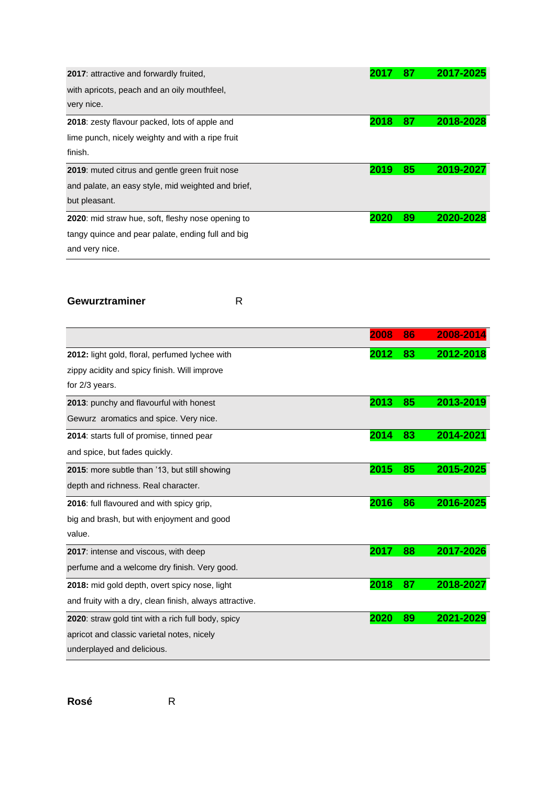| <b>2017:</b> attractive and forwardly fruited,       | 2017 | 87 | 2017-2025 |
|------------------------------------------------------|------|----|-----------|
| with apricots, peach and an oily mouthfeel,          |      |    |           |
| very nice.                                           |      |    |           |
| <b>2018:</b> zesty flavour packed, lots of apple and | 2018 | 87 | 2018-2028 |
| lime punch, nicely weighty and with a ripe fruit     |      |    |           |
| finish.                                              |      |    |           |
| 2019: muted citrus and gentle green fruit nose       | 2019 | 85 | 2019-2027 |
| and palate, an easy style, mid weighted and brief,   |      |    |           |
| but pleasant.                                        |      |    |           |
| 2020: mid straw hue, soft, fleshy nose opening to    | 2020 | 89 | 2020-2028 |
| tangy quince and pear palate, ending full and big    |      |    |           |
| and very nice.                                       |      |    |           |

#### Gewurztraminer R

|                                                         | 2008 | 86 | 2008-2014 |
|---------------------------------------------------------|------|----|-----------|
| 2012: light gold, floral, perfumed lychee with          | 2012 | 83 | 2012-2018 |
| zippy acidity and spicy finish. Will improve            |      |    |           |
| for 2/3 years.                                          |      |    |           |
| 2013: punchy and flavourful with honest                 | 2013 | 85 | 2013-2019 |
| Gewurz aromatics and spice. Very nice.                  |      |    |           |
| 2014: starts full of promise, tinned pear               | 2014 | 83 | 2014-2021 |
| and spice, but fades quickly.                           |      |    |           |
| 2015: more subtle than '13, but still showing           | 2015 | 85 | 2015-2025 |
| depth and richness. Real character.                     |      |    |           |
| 2016: full flavoured and with spicy grip,               | 2016 | 86 | 2016-2025 |
| big and brash, but with enjoyment and good              |      |    |           |
| value.                                                  |      |    |           |
| 2017: intense and viscous, with deep                    | 2017 | 88 | 2017-2026 |
| perfume and a welcome dry finish. Very good.            |      |    |           |
| 2018: mid gold depth, overt spicy nose, light           | 2018 | 87 | 2018-2027 |
| and fruity with a dry, clean finish, always attractive. |      |    |           |
| 2020: straw gold tint with a rich full body, spicy      | 2020 | 89 | 2021-2029 |
| apricot and classic varietal notes, nicely              |      |    |           |
| underplayed and delicious.                              |      |    |           |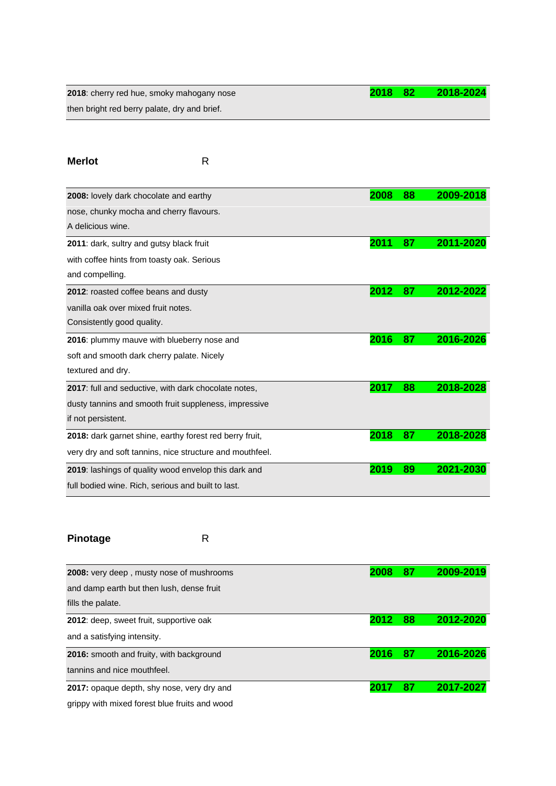**2018**: cherry red hue, smoky mahogany nose **2018 82 2018-2024** then bright red berry palate, dry and brief.

| <b>Merlot</b>                                               | R |      |    |           |
|-------------------------------------------------------------|---|------|----|-----------|
| 2008: lovely dark chocolate and earthy                      |   | 2008 | 88 | 2009-2018 |
| nose, chunky mocha and cherry flavours.                     |   |      |    |           |
| A delicious wine.                                           |   |      |    |           |
| 2011: dark, sultry and gutsy black fruit                    |   | 2011 | 87 | 2011-2020 |
| with coffee hints from toasty oak. Serious                  |   |      |    |           |
| and compelling.                                             |   |      |    |           |
| 2012: roasted coffee beans and dusty                        |   | 2012 | 87 | 2012-2022 |
| vanilla oak over mixed fruit notes.                         |   |      |    |           |
| Consistently good quality.                                  |   |      |    |           |
| 2016: plummy mauve with blueberry nose and                  |   | 2016 | 87 | 2016-2026 |
| soft and smooth dark cherry palate. Nicely                  |   |      |    |           |
| textured and dry.                                           |   |      |    |           |
| <b>2017:</b> full and seductive, with dark chocolate notes, |   | 2017 | 88 | 2018-2028 |
| dusty tannins and smooth fruit suppleness, impressive       |   |      |    |           |
| if not persistent.                                          |   |      |    |           |
| 2018: dark garnet shine, earthy forest red berry fruit,     |   | 2018 | 87 | 2018-2028 |
| very dry and soft tannins, nice structure and mouthfeel.    |   |      |    |           |
| 2019: lashings of quality wood envelop this dark and        |   | 2019 | 89 | 2021-2030 |
| full bodied wine. Rich, serious and built to last.          |   |      |    |           |

## Pinotage R

| <b>2008:</b> very deep, musty nose of mushrooms |      | 87 | 2009-2019 |
|-------------------------------------------------|------|----|-----------|
| and damp earth but then lush, dense fruit       |      |    |           |
| fills the palate.                               |      |    |           |
| 2012: deep, sweet fruit, supportive oak         | 2012 | 88 | 2012-2020 |
| and a satisfying intensity.                     |      |    |           |
| 2016: smooth and fruity, with background        | 2016 | 87 | 2016-2026 |
| tannins and nice mouthfeel.                     |      |    |           |
| 2017: opaque depth, shy nose, very dry and      |      | 87 | 2017-2027 |
| grippy with mixed forest blue fruits and wood   |      |    |           |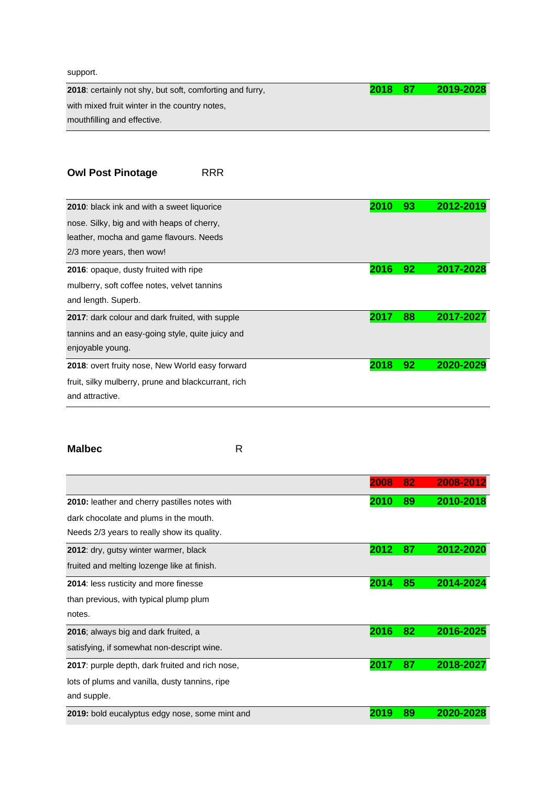#### support.

**2018**: certainly not shy, but soft, comforting and furry, **2018 87 2019-2028** with mixed fruit winter in the country notes, mouthfilling and effective.

## **Owl Post Pinotage** RRR

| <b>2010:</b> black ink and with a sweet liquorice      | 2010 | 93 | 2012-2019 |
|--------------------------------------------------------|------|----|-----------|
| nose. Silky, big and with heaps of cherry,             |      |    |           |
| leather, mocha and game flavours. Needs                |      |    |           |
| 2/3 more years, then wow!                              |      |    |           |
| 2016: opaque, dusty fruited with ripe                  | 2016 | 92 | 2017-2028 |
| mulberry, soft coffee notes, velvet tannins            |      |    |           |
| and length. Superb.                                    |      |    |           |
| <b>2017:</b> dark colour and dark fruited, with supple | 2017 | 88 | 2017-2027 |
| tannins and an easy-going style, quite juicy and       |      |    |           |
| enjoyable young.                                       |      |    |           |
| 2018: overt fruity nose, New World easy forward        | 2018 | 92 | 2020-20   |
| fruit, silky mulberry, prune and blackcurrant, rich    |      |    |           |
| and attractive.                                        |      |    |           |

#### **Malbec** R

|                                                         | 2008 | 82 | 2008-2012 |
|---------------------------------------------------------|------|----|-----------|
| 2010: leather and cherry pastilles notes with           | 2010 | 89 | 2010-2018 |
| dark chocolate and plums in the mouth.                  |      |    |           |
| Needs 2/3 years to really show its quality.             |      |    |           |
| 2012: dry, gutsy winter warmer, black                   | 2012 | 87 | 2012-2020 |
| fruited and melting lozenge like at finish.             |      |    |           |
| <b>2014:</b> less rusticity and more finesse            | 2014 | 85 | 2014-2024 |
| than previous, with typical plump plum                  |      |    |           |
| notes.                                                  |      |    |           |
| 2016; always big and dark fruited, a                    | 2016 | 82 | 2016-2025 |
| satisfying, if somewhat non-descript wine.              |      |    |           |
| <b>2017</b> : purple depth, dark fruited and rich nose, | 2017 | 87 | 2018-2027 |
| lots of plums and vanilla, dusty tannins, ripe          |      |    |           |
| and supple.                                             |      |    |           |
| 2019: bold eucalyptus edgy nose, some mint and          | 2019 | 89 | 2020-2    |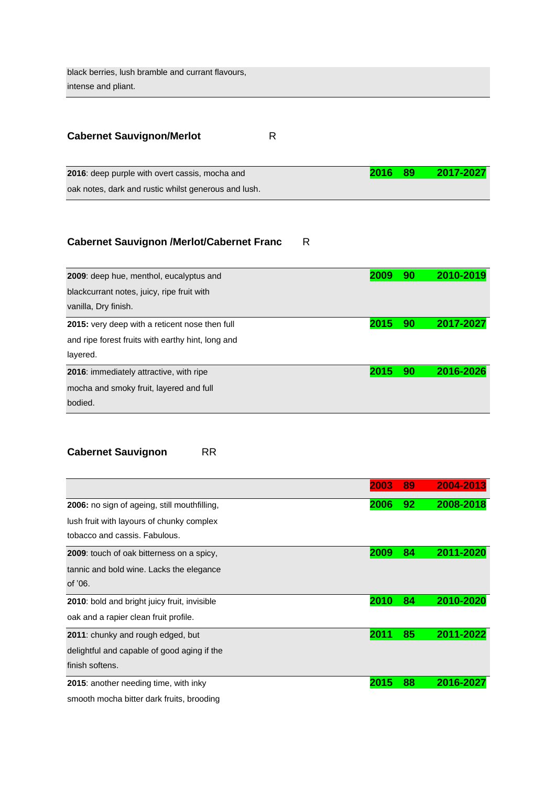black berries, lush bramble and currant flavours, intense and pliant.

| <b>Cabernet Sauvignon/Merlot</b> |  |
|----------------------------------|--|
|----------------------------------|--|

**2016**: deep purple with overt cassis, mocha and **2016 89 2017-2027** oak notes, dark and rustic whilst generous and lush.

### **Cabernet Sauvignon /Merlot/Cabernet Franc** R

| 2009: deep hue, menthol, eucalyptus and           | 2009 | 90 | 2010-2019 |
|---------------------------------------------------|------|----|-----------|
| blackcurrant notes, juicy, ripe fruit with        |      |    |           |
| vanilla, Dry finish.                              |      |    |           |
| 2015: very deep with a reticent nose then full    | 2015 | 90 | 2017-2027 |
| and ripe forest fruits with earthy hint, long and |      |    |           |
| layered.                                          |      |    |           |
| <b>2016:</b> immediately attractive, with ripe    | 2015 | 90 | 2016-2026 |
| mocha and smoky fruit, layered and full           |      |    |           |
| bodied.                                           |      |    |           |

### **Cabernet Sauvignon** RR

|                                                     | 2003 | 89 | 2004-2013 |
|-----------------------------------------------------|------|----|-----------|
| 2006: no sign of ageing, still mouthfilling,        | 2006 | 92 | 2008-2018 |
| lush fruit with layours of chunky complex           |      |    |           |
| tobacco and cassis. Fabulous.                       |      |    |           |
| 2009: touch of oak bitterness on a spicy,           | 2009 | 84 | 2011-2020 |
| tannic and bold wine. Lacks the elegance            |      |    |           |
| of '06.                                             |      |    |           |
| <b>2010:</b> bold and bright juicy fruit, invisible | 2010 | 84 | 2010-2020 |
| oak and a rapier clean fruit profile.               |      |    |           |
| 2011: chunky and rough edged, but                   | 2011 | 85 | 2011-2022 |
| delightful and capable of good aging if the         |      |    |           |
| finish softens.                                     |      |    |           |
| 2015: another needing time, with inky               | 2015 | 88 | 2016-2027 |
| smooth mocha bitter dark fruits, brooding           |      |    |           |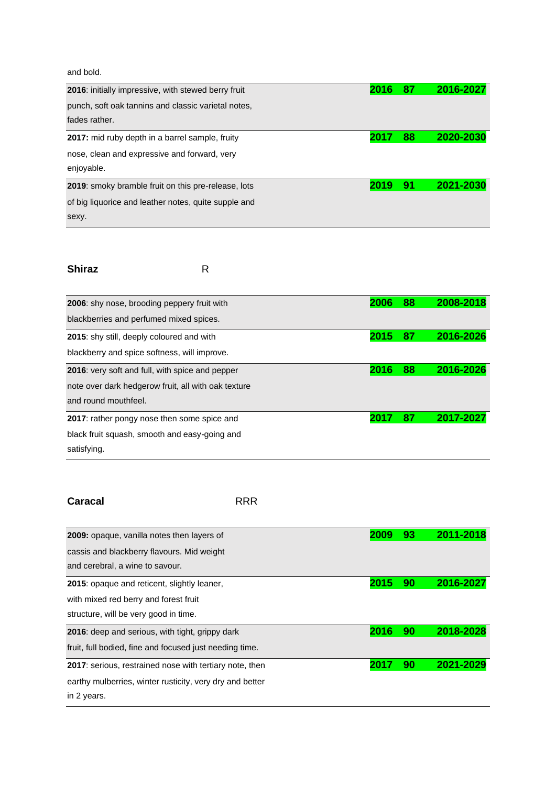and bold.

| <b>2016:</b> initially impressive, with stewed berry fruit | 2016 | 87 | 2016-2027 |
|------------------------------------------------------------|------|----|-----------|
| punch, soft oak tannins and classic varietal notes,        |      |    |           |
| fades rather.                                              |      |    |           |
| 2017: mid ruby depth in a barrel sample, fruity            | 2017 | 88 | 2020-2030 |
| nose, clean and expressive and forward, very               |      |    |           |
| enjoyable.                                                 |      |    |           |
| 2019: smoky bramble fruit on this pre-release, lots        | 2019 | 91 | 2021-2030 |
| of big liquorice and leather notes, quite supple and       |      |    |           |
| sexy.                                                      |      |    |           |

### **Shiraz** R

| 2006: shy nose, brooding peppery fruit with         | 2006 | 88 | 2008-2018 |
|-----------------------------------------------------|------|----|-----------|
| blackberries and perfumed mixed spices.             |      |    |           |
| 2015: shy still, deeply coloured and with           | 2015 | 87 | 2016-2026 |
| blackberry and spice softness, will improve.        |      |    |           |
| 2016: very soft and full, with spice and pepper     | 2016 | 88 | 2016-2026 |
| note over dark hedgerow fruit, all with oak texture |      |    |           |
| and round mouthfeel.                                |      |    |           |
| 2017: rather pongy nose then some spice and         | 2017 | 87 | 2017-2027 |
| black fruit squash, smooth and easy-going and       |      |    |           |
| satisfying.                                         |      |    |           |

**Caracal** RRR

| <b>2009:</b> opaque, vanilla notes then layers of              |      | 93 | 2011-2018 |
|----------------------------------------------------------------|------|----|-----------|
| cassis and blackberry flavours. Mid weight                     |      |    |           |
| and cerebral, a wine to savour.                                |      |    |           |
| <b>2015:</b> opaque and reticent, slightly leaner,             | 2015 | 90 | 2016-2027 |
| with mixed red berry and forest fruit                          |      |    |           |
| structure, will be very good in time.                          |      |    |           |
| <b>2016</b> : deep and serious, with tight, grippy dark        | 2016 | 90 | 2018-2028 |
| fruit, full bodied, fine and focused just needing time.        |      |    |           |
| <b>2017:</b> serious, restrained nose with tertiary note, then | 201  | 90 | 2021-2029 |
| earthy mulberries, winter rusticity, very dry and better       |      |    |           |
| in 2 years.                                                    |      |    |           |